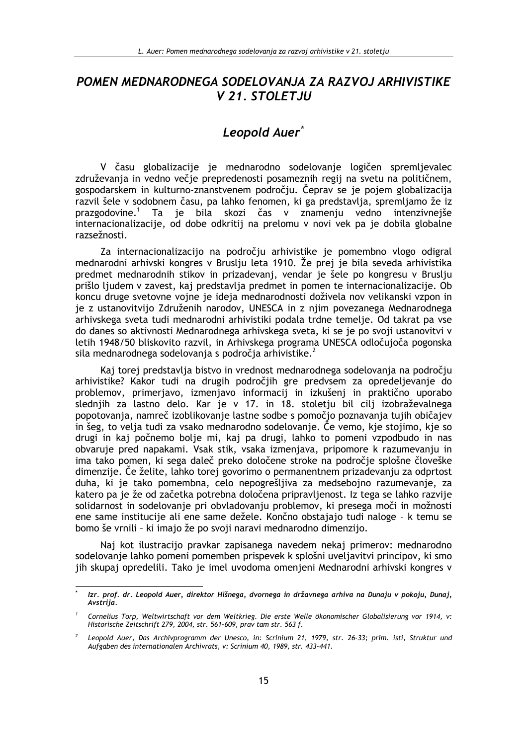## POMEN MEDNARODNEGA SODELOVANJA ZA RAZVOJ ARHIVISTIKE V 21. STOLETJU

## Leopold Auer<sup>\*</sup>

V času globalizacije je mednarodno sodelovanje logičen spremljevalec združevanja in vedno večje prepredenosti posameznih regij na svetu na političnem, gospodarskem in kulturno-znanstvenem področju. Čeprav se je pojem globalizacija razvil šele v sodobnem času, pa lahko fenomen, ki ga predstavlja, spremljamo že iz prazgodovine.<sup>1</sup> Ta je bila skozi čas v znamenju vedno intenzivnejše internacionalizacije, od dobe odkritij na prelomu v novi vek pa je dobila globalne razsežnosti.

Za internacionalizacijo na področju arhivistike je pomembno vlogo odigral mednarodni arhivski kongres v Bruslju leta 1910. Že prej je bila seveda arhivistika predmet mednarodnih stikov in prizadevanj, vendar je šele po kongresu v Bruslju prišlo ljudem v zavest, kaj predstavlja predmet in pomen te internacionalizacije. Ob koncu druge svetovne vojne je ideja mednarodnosti doživela nov velikanski vzpon in je z ustanovitvijo Združenih narodov, UNESCA in z njim povezanega Mednarodnega arhivskega sveta tudi mednarodni arhivistiki podala trdne temelje. Od takrat pa vse do danes so aktivnosti Mednarodnega arhivskega sveta, ki se je po svoji ustanovitvi v letih 1948/50 bliskovito razvil, in Arhivskega programa UNESCA odločujoča pogonska sila mednarodnega sodelovanja s področja arhivistike.<sup>2</sup>

Kaj torej predstavlja bistvo in vrednost mednarodnega sodelovanja na področju arhivistike? Kakor tudi na drugih področjih gre predvsem za opredeljevanje do problemov, primerjavo, izmenjavo informacij in izkušenj in praktično uporabo slednijh za lastno delo. Kar je v 17. jn 18. stoletju bil cili izobraževalnega popotovanja, namreč izoblikovanje lastne sodbe s pomočjo poznavanja tujih običajev in šeg, to velja tudi za vsako mednarodno sodelovanje. Če vemo, kje stojimo, kje so drugi in kaj počnemo bolje mi, kaj pa drugi, lahko to pomeni vzpodbudo in nas obvaruje pred napakami. Vsak stik, vsaka izmenjava, pripomore k razumevanju in ima tako pomen, ki sega daleč preko določene stroke na področie splošne človeške dimenzije. Če želite, lahko torej govorimo o permanentnem prizadevanju za odprtost duha, ki je tako pomembna, celo nepogrešljiva za medsebojno razumevanje, za katero pa je že od začetka potrebna določena pripravljenost. Iz tega se lahko razvije solidarnost in sodelovanje pri obvladovanju problemov, ki presega moči in možnosti ene same institucije ali ene same dežele. Končno obstajajo tudi naloge - k temu se bomo še vrnili - ki imajo že po svoji naravi mednarodno dimenzijo.

Naj kot ilustracijo pravkar zapisanega navedem nekaj primerov: mednarodno sodelovanje lahko pomeni pomemben prispevek k splošni uveljavitvi principov, ki smo jih skupaj opredelili. Tako je imel uvodoma omenjeni Mednarodni arhivski kongres v

Izr. prof. dr. Leopold Auer, direktor Hišnega, dvornega in državnega arhiva na Dunaju v pokoju, Dunaj, Avstriia.

Cornelius Torp, Weltwirtschaft vor dem Weltkrieg. Die erste Welle ökonomischer Globalisierung vor 1914, v: Historische Zeitschrift 279, 2004, str. 561-609, prav tam str. 563 f.

Leopold Auer, Das Archivprogramm der Unesco, in: Scrinium 21, 1979, str. 26-33; prim. isti, Struktur und Aufgaben des internationalen Archivrats, v: Scrinium 40, 1989, str. 433-441.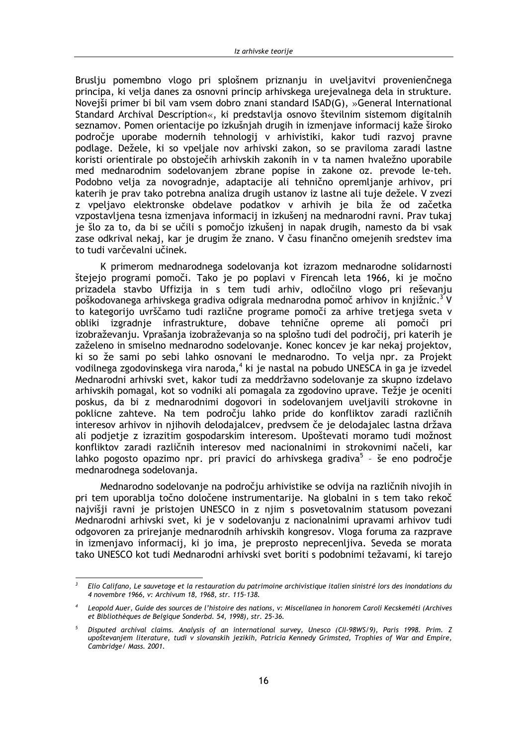Bruslju pomembno vlogo pri splošnem priznanju in uveljavitvi provenienčnega principa, ki velja danes za osnovni princip arhivskega urejevalnega dela in strukture. Noveiši primer bi bil vam vsem dobro znani standard ISAD(G), »General International Standard Archival Description«, ki predstavlja osnovo številnim sistemom digitalnih seznamov. Pomen orientacije po izkušnjah drugih in izmenjave informacij kaže široko področje uporabe modernih tehnologij v arhivistiki, kakor tudi razvoj pravne podlage. Dežele, ki so vpeljale nov arhivski zakon, so se praviloma zaradi lastne koristi orientirale po obstoječih arhivskih zakonih in v ta namen hvaležno uporabile med mednarodnim sodelovanjem zbrane popise in zakone oz. prevode le-teh. Podobno velja za novogradnje, adaptacije ali tehnično opremljanje arhivov, pri katerih je prav tako potrebna analiza drugih ustanov iz lastne ali tuje dežele. V zvezi z vpeljavo elektronske obdelave podatkov v arhivih je bila že od začetka vzpostavljena tesna izmenjava informacij in izkušenj na mednarodni ravni. Prav tukaj je šlo za to, da bi se učili s pomočjo izkušenj in napak drugih, namesto da bi vsak zase odkrival nekaj, kar je drugim že znano. V času finančno omejenih sredstev ima to tudi varčevalni učinek.

K primerom mednarodnega sodelovanja kot izrazom mednarodne solidarnosti štejejo programi pomoči. Tako je po poplavi v Firencah leta 1966, ki je močno prizadela stavbo Uffizija in s tem tudi arhiv, odločilno vlogo pri reševanju poškodovanega arhivskega gradiva odigrala mednarodna pomoč arhivov in knjižnic.<sup>3</sup> V to kategorijo uvrščamo tudi različne programe pomoči za arhive tretjega sveta v obliki izgradnje infrastrukture, dobave tehnične opreme ali pomoči pri izobraževanju. Vprašanja izobraževanja so na splošno tudi del področij, pri katerih je zaželeno in smiselno mednarodno sodelovanje. Konec koncev je kar nekaj projektov, ki so že sami po sebi lahko osnovani le mednarodno. To velja npr. za Projekt vodilnega zgodovinskega vira naroda,<sup>4</sup> ki je nastal na pobudo UNESCA in ga je izvedel Mednarodni arhivski svet, kakor tudi za meddržavno sodelovanje za skupno izdelavo arhivskih pomagal, kot so vodniki ali pomagala za zgodovino uprave. Težje je oceniti poskus, da bi z mednarodnimi dogovori in sodelovaniem uveliavili strokovne in poklicne zahteve. Na tem področju lahko pride do konfliktov zaradi različnih interesov arhivov in niihovih delodajalcev, predvsem če je delodajalec lastna država ali podjetje z izrazitim gospodarskim interesom. Upoštevati moramo tudi možnost konfliktov zaradi različnih interesov med nacionalnimi in strokovnimi načeli, kar lahko pogosto opazimo npr. pri pravici do arhivskega gradiva<sup>5</sup> - še eno področje mednarodnega sodelovanja.

Mednarodno sodelovanje na področju arhivistike se odvija na različnih nivojih in pri tem uporablja točno določene instrumentarije. Na globalni in s tem tako rekoč najvišji ravni je pristojen UNESCO in z njim s posvetovalnim statusom povezani Mednarodni arhivski svet, ki je v sodelovanju z nacionalnimi upravami arhivov tudi odgovoren za prirejanje mednarodnih arhivskih kongresov. Vloga foruma za razprave in izmenjavo informacij, ki jo ima, je preprosto neprecenljiva. Seveda se morata tako UNESCO kot tudi Mednarodni arhivski svet boriti s podobnimi težavami, ki tarejo

Elio Califano, Le sauvetage et la restauration du patrimoine archivistique italien sinistré lors des inondations du 4 novembre 1966, v: Archivum 18, 1968, str. 115-138.

Leopold Auer, Guide des sources de l'histoire des nations, v: Miscellanea in honorem Caroli Kecskeméti (Archives et Bibliothèques de Belgique Sonderbd. 54, 1998), str. 25-36.

Disputed archival claims. Analysis of an international survey, Unesco (CII-98WS/9), Paris 1998. Prim. Z upoštevanjem literature, tudi v slovanskih jezikih, Patricia Kennedy Grimsted, Trophies of War and Empire, Cambridge/ Mass. 2001.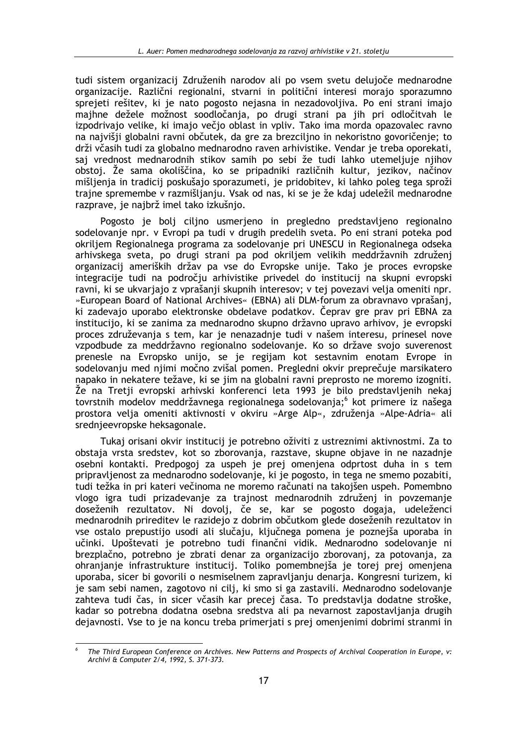tudi sistem organizacij Združenih narodov ali po vsem svetu delujoče mednarodne organizacije. Različni regionalni, stvarni in politični interesi morajo sporazumno sprejeti rešitev, ki je nato pogosto nejasna in nezadovoljiva. Po eni strani imajo majhne dežele možnost soodločanja, po drugi strani pa jih pri odločitvah le izpodrivajo velike, ki imajo večjo oblast in vpliv. Tako ima morda opazovalec ravno na najvišji globalni ravni občutek, da gre za brezciljno in nekoristno govoričenje; to drži včasih tudi za globalno mednarodno raven arhivistike. Vendar je treba oporekati, saj vrednost mednarodnih stikov samih po sebi že tudi lahko utemeljuje njihov obstoj. Že sama okoliščina, ko se pripadniki različnih kultur, jezikov, načinov mišljenja in tradicij poskušajo sporazumeti, je pridobitev, ki lahko poleg tega sproži trajne spremembe v razmišljanju. Vsak od nas, ki se je že kdaj udeležil mednarodne razprave, je najbrž imel tako izkušnjo.

Pogosto je bolj ciljno usmerjeno in pregledno predstavljeno regionalno sodelovanje npr. v Evropi pa tudi v drugih predelih sveta. Po eni strani poteka pod okriljem Regionalnega programa za sodelovanje pri UNESCU in Regionalnega odseka arhivskega sveta, po drugi strani pa pod okriljem velikih meddržavnih združenj organizacij ameriških držav pa vse do Evropske unije. Tako je proces evropske integracije tudi na področju arhivistike privedel do institucij na skupni evropski ravni, ki se ukvarjajo z vprašanji skupnih interesov; v tej povezavi velja omeniti npr. »European Board of National Archives« (EBNA) ali DLM-forum za obravnavo vprašani, ki zadevajo uporabo elektronske obdelave podatkov. Čeprav gre prav pri EBNA za institucijo, ki se zanima za mednarodno skupno državno upravo arhivov, je evropski proces združevanja s tem, kar je nenazadnje tudi v našem interesu, prinesel nove vzpodbude za meddržavno regionalno sodelovanje. Ko so države svojo suverenost prenesle na Evropsko unijo, se je regijam kot sestavnim enotam Evrope in sodelovanju med njimi močno zvišal pomen. Pregledni okvir preprečuje marsikatero napako in nekatere težave, ki se jim na globalni ravni preprosto ne moremo izogniti. Že na Tretji evropski arhivski konferenci leta 1993 je bilo predstavljenih nekaj tovrstnih modelov meddržavnega regionalnega sodelovanja;<sup>6</sup> kot primere iz našega prostora velja omeniti aktivnosti v okviru »Arge Alp«, združenia »Alpe-Adria« ali srednieevropske heksagonale.

Tukaj orisani okvir institucij je potrebno oživiti z ustreznimi aktivnostmi. Za to obstaja vrsta sredstev, kot so zborovanja, razstave, skupne objave in ne nazadnje osebni kontakti. Predpogoj za uspeh je prej omenjena odprtost duha in s tem pripravljenost za mednarodno sodelovanje, ki je pogosto, in tega ne smemo pozabiti, tudi težka in pri kateri večinoma ne moremo računati na takojšen uspeh. Pomembno vlogo igra tudi prizadevanje za trajnost mednarodnih združenj in povzemanje doseženih rezultatov. Ni dovolj, če se, kar se pogosto dogaja, udeleženci mednarodnih prireditev le razidejo z dobrim občutkom glede doseženih rezultatov in vse ostalo prepustijo usodi ali slučaju, ključnega pomena je poznejša uporaba in učinki. Upoštevati je potrebno tudi finančni vidik. Mednarodno sodelovanje ni brezplačno, potrebno je zbrati denar za organizacijo zborovanj, za potovanja, za ohranjanje infrastrukture institucij. Toliko pomembnejša je torej prej omenjena uporaba, sicer bi govorili o nesmiselnem zapravljanju denarja. Kongresni turizem, ki je sam sebi namen, zagotovo ni cilj, ki smo si ga zastavili. Mednarodno sodelovanje zahteva tudi čas, in sicer včasih kar precej časa. To predstavlja dodatne stroške, kadar so potrebna dodatna osebna sredstva ali pa nevarnost zapostavljanja drugih dejavnosti. Vse to je na koncu treba primerjati s prej omenjenimi dobrimi stranmi in

The Third European Conference on Archives. New Patterns and Prospects of Archival Cooperation in Europe, v: Archivi & Computer 2/4, 1992, S. 371-373.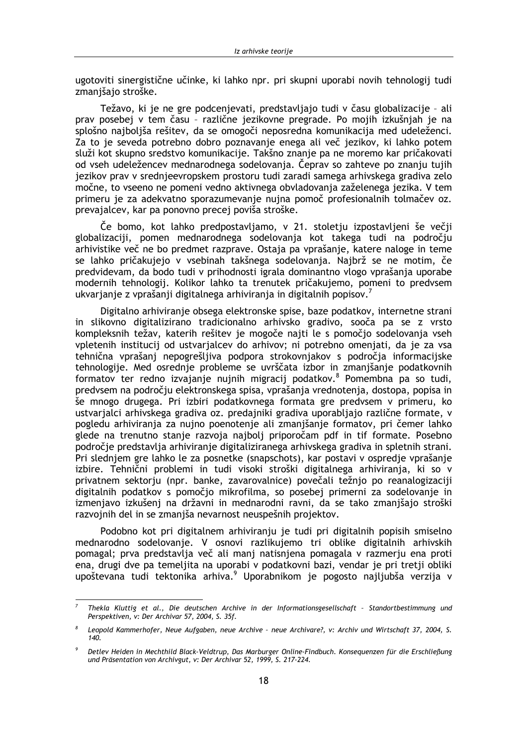ugotoviti sinergistične učinke, ki lahko npr. pri skupni uporabi novih tehnologij tudi zmanišajo stroške.

Težavo, ki je ne gre podcenjevati, predstavljajo tudi v času globalizacije - ali prav posebej v tem času - različne jezikovne pregrade. Po mojih izkušnjah je na splošno najboljša rešitev, da se omogoči neposredna komunikacija med udeleženci. Za to je seveda potrebno dobro poznavanje enega ali več jezikov, ki lahko potem služi kot skupno sredstvo komunikacije. Takšno znanje pa ne moremo kar pričakovati od vseh udeležencev mednarodnega sodelovanja. Čeprav so zahteve po znanju tujih jezikov prav v srednjeevropskem prostoru tudi zaradi samega arhivskega gradiva zelo močne, to vseeno ne pomeni vedno aktivnega obvladovanja zaželenega jezika. V tem primeru je za adekvatno sporazumevanje nujna pomoč profesionalnih tolmačev oz. prevajalcev, kar pa ponovno precej poviša stroške.

Če bomo, kot lahko predpostavljamo, v 21. stoletju izpostavljeni še večji globalizaciji, pomen mednarodnega sodelovanja kot takega tudi na področju arhivistike več ne bo predmet razprave. Ostaja pa vprašanje, katere naloge in teme se lahko pričakujejo v vsebinah takšnega sodelovanja. Najbrž se ne motim, če predvidevam, da bodo tudi v prihodnosti igrala dominantno vlogo vprašanja uporabe modernih tehnologij. Kolikor lahko ta trenutek pričakujemo, pomeni to predysem ukvarjanje z vprašanji digitalnega arhiviranja in digitalnih popisov.<sup>7</sup>

Digitalno arhiviranje obsega elektronske spise, baze podatkov, internetne strani in slikovno digitalizirano tradicionalno arhivsko gradivo, sooča pa se z vrsto kompleksnih težav, katerih rešitev je mogoče najti le s pomočjo sodelovanja vseh vpletenih institucij od ustvarjalcev do arhivov; ni potrebno omenjati, da je za vsa tehnična vprašanj nepogrešljiva podpora strokovnjakov s področja informacijske tehnologije. Med osrednje probleme se uvrščata izbor in zmanjšanje podatkovnih formatov ter redno izvajanje nujnih migracij podatkov.<sup>8</sup> Pomembna pa so tudi, predvsem na področiu elektronskega spisa, vprašania vrednotenia, dostopa, popisa in še mnogo drugega. Pri izbiri podatkovnega formata gre predvsem v primeru, ko ustvarjalci arhivskega gradiva oz. predajniki gradiva uporabljajo različne formate, v pogledu arhiviranja za nujno poenotenje ali zmanjšanje formatov, pri čemer lahko glede na trenutno stanje razvoja najbolj priporočam pdf in tif formate. Posebno področie predstavlja arhiviranje digitaliziranega arhivskega gradiva in spletnih strani. Pri slednjem gre lahko le za posnetke (snapschots), kar postavi v ospredje vprašanje izbire. Tehnični problemi in tudi visoki stroški digitalnega arhiviranja, ki so v privatnem sektorju (npr. banke, zavarovalnice) povečali težnjo po reanalogizaciji digitalnih podatkov s pomočjo mikrofilma, so posebej primerni za sodelovanje in izmenjavo izkušenj na državni in mednarodni ravni, da se tako zmanjšajo stroški razvojnih del in se zmanjša nevarnost neuspešnih projektov.

Podobno kot pri digitalnem arhiviranju je tudi pri digitalnih popisih smiselno mednarodno sodelovanje. V osnovi razlikujemo tri oblike digitalnih arhivskih pomagal; prva predstavlja več ali manj natisnjena pomagala v razmerju ena proti ena, drugi dve pa temeljita na uporabi v podatkovni bazi, vendar je pri tretji obliki upoštevana tudi tektonika arhiva.<sup>9</sup> Uporabnikom je pogosto najljubša verzija v

Thekla Kluttig et al., Die deutschen Archive in der Informationsgesellschaft - Standortbestimmung und Perspektiven, v: Der Archivar 57, 2004, S. 35f.

Leopold Kammerhofer, Neue Aufgaben, neue Archive - neue Archivare?, v: Archiv und Wirtschaft 37, 2004, S.  $140.$ 

Detlev Heiden in Mechthild Black-Veldtrup, Das Marburger Online-Findbuch. Konsequenzen für die Erschließung und Präsentation von Archivgut, v: Der Archivar 52, 1999, S. 217-224.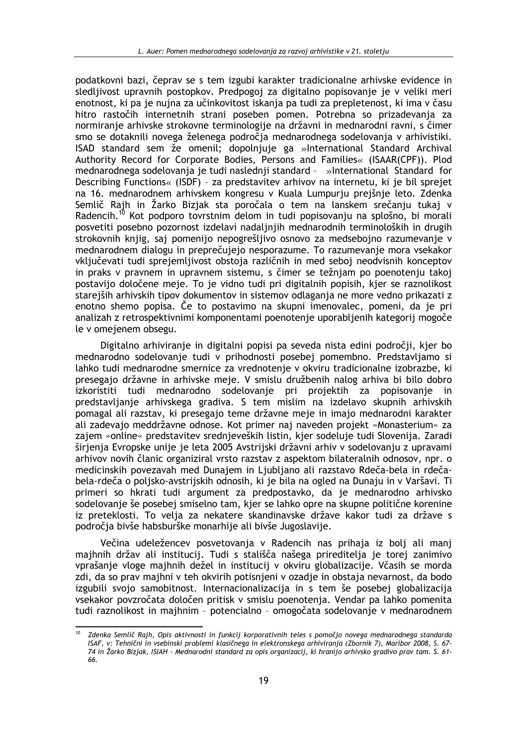podatkovni bazi, čeprav se s tem izgubi karakter tradicionalne arhivske evidence in sledljivost upravnih postopkov. Predpogoj za digitalno popisovanje je v veliki meri enotnost, ki pa je nujna za učinkovitost iskanja pa tudi za prepletenost, ki ima v času hitro rastočih internetnih strani poseben pomen. Potrebna so prizadevanja za normiranje arhivske strokovne terminologije na državni in mednarodni ravni, s čimer smo se dotaknili novega želenega področja mednarodnega sodelovanja v arhivistiki. ISAD standard sem že omenil; dopolnjuje ga »International Standard Archival Authority Record for Corporate Bodies, Persons and Families« (ISAAR(CPF)). Plod mednarodnega sodelovanja je tudi naslednji standard - »International Standard for Describing Functions« (ISDF) - za predstavitev arhivov na internetu, ki je bil sprejet na 16. mednarodnem arhivskem kongresu v Kuala Lumpurju prejšnje leto. Zdenka Semlič Rajh in Žarko Bizjak sta poročala o tem na lanskem srečanju tukaj v Radencih.<sup>10</sup> Kot podporo tovrstnim delom in tudi popisovanju na splošno, bi morali posvetiti posebno pozornost izdelavi nadaljnjih mednarodnih terminoloških in drugih strokovnih knjig, saj pomenijo nepogrešljivo osnovo za medsebojno razumevanje v mednarodnem dialogu in preprečujejo nesporazume. To razumevanje mora vsekakor vključevati tudi sprejemljivost obstoja različnih in med seboj neodvisnih konceptov in praks v pravnem in upravnem sistemu, s čimer se težnjam po poenotenju takoj postavijo določene meje. To je vidno tudi pri digitalnih popisih, kjer se raznolikost starejših arhivskih tipov dokumentov in sistemov odlaganja ne more vedno prikazati z enotno shemo popisa. Če to postavimo na skupni imenovalec, pomeni, da je pri analizah z retrospektivnimi komponentami poenotenje uporabljenih kategorij mogoče le v omejenem obsegu.

Digitalno arhiviranje in digitalni popisi pa seveda nista edini področji, kjer bo mednarodno sodelovanje tudi v prihodnosti posebej pomembno. Predstavljamo si lahko tudi mednarodne smernice za vrednotenje v okviru tradicionalne izobrazbe, ki presegajo državne in arhivske meje. V smislu družbenih nalog arhiva bi bilo dobro izkoristiti tudi mednarodno sodelovanje pri projektih za popisovanje in predstavlianie arhivskega gradiva. S tem mislim na izdelavo skupnih arhivskih pomagal ali razstav, ki presegajo teme državne meje in imajo mednarodni karakter ali zadevajo meddržavne odnose. Kot primer naj naveden projekt »Monasterium« za zajem »online« predstavitev srednjeveških listin, kjer sodeluje tudi Slovenija. Zaradi širjenja Evropske unije je leta 2005 Avstrijski državni arhiv v sodelovanju z upravami arhivov novih članic organiziral vrsto razstav z aspektom bilateralnih odnosov, npr. o medicinskih povezavah med Dunajem in Ljubljano ali razstavo Rdeča-bela in rdečabela-rdeča o poljsko-avstrijskih odnosih, ki je bila na ogled na Dunaju in v Varšavi. Ti primeri so hkrati tudi argument za predpostavko, da je mednarodno arhivsko sodelovanje še posebej smiselno tam, kjer se lahko opre na skupne politične korenine iz preteklosti. To velja za nekatere skandinavske države kakor tudi za države s področja bivše habsburške monarhije ali bivše Jugoslavije.

Večina udeležencev posvetovanja v Radencih nas prihaja iz bolj ali manj majhnih držav ali institucij. Tudi s stališča našega prireditelja je torej zanimivo vprašanje vloge majhnih dežel in institucij v okviru globalizacije. Včasih se morda zdi, da so prav majhni v teh okvirih potisnjeni v ozadje in obstaja nevarnost, da bodo izgubili svoio samobitnost. Internacionalizacija in s tem še posebej globalizacija vsekakor povzročata določen pritisk v smislu poenotenia. Vendar pa lahko pomenita tudi raznolikost in majhnim - potencialno - omogočata sodelovanje v mednarodnem

Zdenka Semlič Rajh, Opis aktivnosti in funkcij korporativnih teles s pomočjo novega mednarodnega standarda ISAF, v: Tehnični in vsebinski problemi klasičnega in elektronskega arhiviranja (Zbornik 7), Maribor 2008, S. 67-74 in Žarko Bizjak, ISIAH - Mednarodni standard za opis organizacij, ki hranijo arhivsko gradivo prav tam. S. 66.